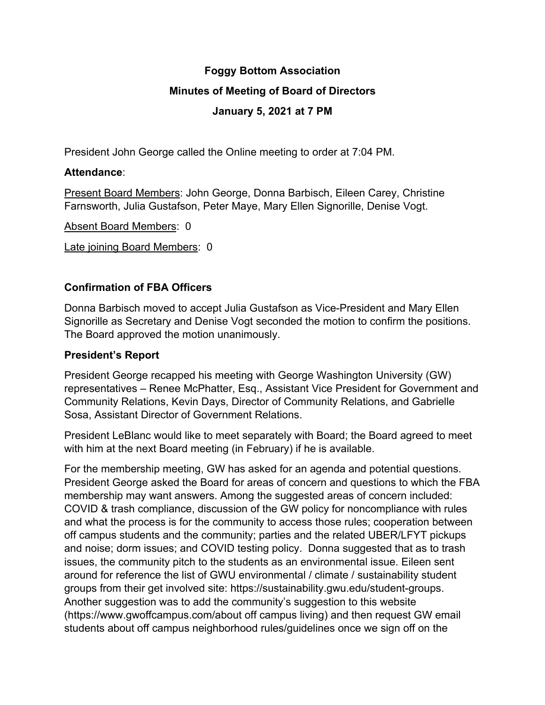# **Foggy Bottom Association Minutes of Meeting of Board of Directors January 5, 2021 at 7 PM**

President John George called the Online meeting to order at 7:04 PM.

## **Attendance**:

Present Board Members: John George, Donna Barbisch, Eileen Carey, Christine Farnsworth, Julia Gustafson, Peter Maye, Mary Ellen Signorille, Denise Vogt.

Absent Board Members: 0

Late joining Board Members: 0

# **Confirmation of FBA Officers**

Donna Barbisch moved to accept Julia Gustafson as Vice-President and Mary Ellen Signorille as Secretary and Denise Vogt seconded the motion to confirm the positions. The Board approved the motion unanimously.

# **President's Report**

President George recapped his meeting with George Washington University (GW) representatives – Renee McPhatter, Esq., Assistant Vice President for Government and Community Relations, Kevin Days, Director of Community Relations, and Gabrielle Sosa, Assistant Director of Government Relations.

President LeBlanc would like to meet separately with Board; the Board agreed to meet with him at the next Board meeting (in February) if he is available.

For the membership meeting, GW has asked for an agenda and potential questions. President George asked the Board for areas of concern and questions to which the FBA membership may want answers. Among the suggested areas of concern included: COVID & trash compliance, discussion of the GW policy for noncompliance with rules and what the process is for the community to access those rules; cooperation between off campus students and the community; parties and the related UBER/LFYT pickups and noise; dorm issues; and COVID testing policy. Donna suggested that as to trash issues, the community pitch to the students as an environmental issue. Eileen sent around for reference the list of GWU environmental / climate / sustainability student groups from their get involved site: https://sustainability.gwu.edu/student-groups. Another suggestion was to add the community's suggestion to this website (https://www.gwoffcampus.com/about off campus living) and then request GW email students about off campus neighborhood rules/guidelines once we sign off on the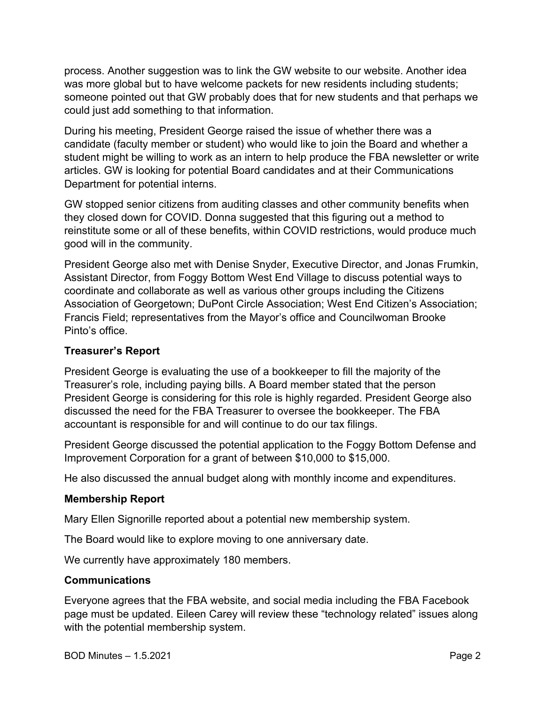process. Another suggestion was to link the GW website to our website. Another idea was more global but to have welcome packets for new residents including students; someone pointed out that GW probably does that for new students and that perhaps we could just add something to that information.

During his meeting, President George raised the issue of whether there was a candidate (faculty member or student) who would like to join the Board and whether a student might be willing to work as an intern to help produce the FBA newsletter or write articles. GW is looking for potential Board candidates and at their Communications Department for potential interns.

GW stopped senior citizens from auditing classes and other community benefits when they closed down for COVID. Donna suggested that this figuring out a method to reinstitute some or all of these benefits, within COVID restrictions, would produce much good will in the community.

President George also met with Denise Snyder, Executive Director, and Jonas Frumkin, Assistant Director, from Foggy Bottom West End Village to discuss potential ways to coordinate and collaborate as well as various other groups including the Citizens Association of Georgetown; DuPont Circle Association; West End Citizen's Association; Francis Field; representatives from the Mayor's office and Councilwoman Brooke Pinto's office.

#### **Treasurer's Report**

President George is evaluating the use of a bookkeeper to fill the majority of the Treasurer's role, including paying bills. A Board member stated that the person President George is considering for this role is highly regarded. President George also discussed the need for the FBA Treasurer to oversee the bookkeeper. The FBA accountant is responsible for and will continue to do our tax filings.

President George discussed the potential application to the Foggy Bottom Defense and Improvement Corporation for a grant of between \$10,000 to \$15,000.

He also discussed the annual budget along with monthly income and expenditures.

#### **Membership Report**

Mary Ellen Signorille reported about a potential new membership system.

The Board would like to explore moving to one anniversary date.

We currently have approximately 180 members.

#### **Communications**

Everyone agrees that the FBA website, and social media including the FBA Facebook page must be updated. Eileen Carey will review these "technology related" issues along with the potential membership system.